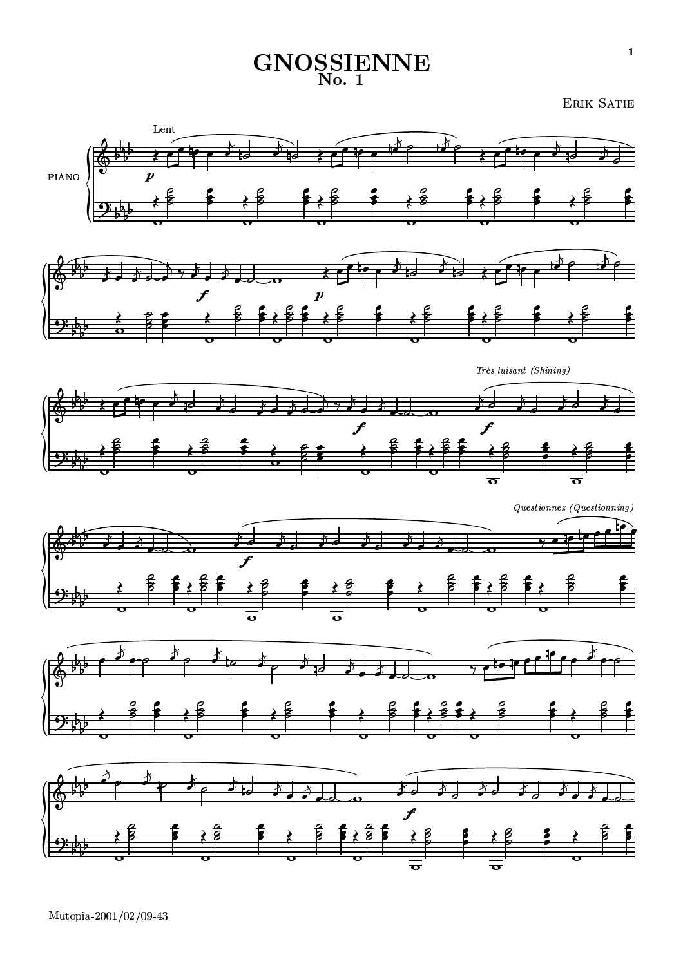## **GNOSSIENNE**

**ERIK SATIE**